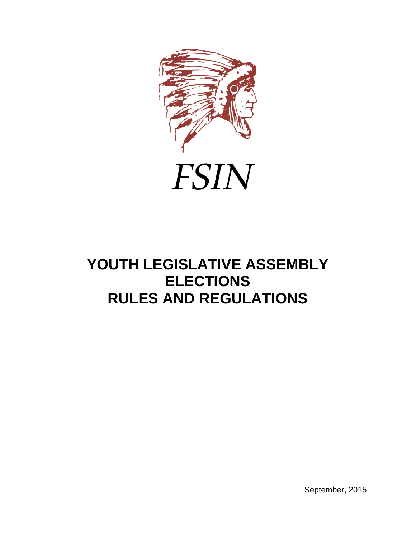



# **YOUTH LEGISLATIVE ASSEMBLY ELECTIONS RULES AND REGULATIONS**

September, 2015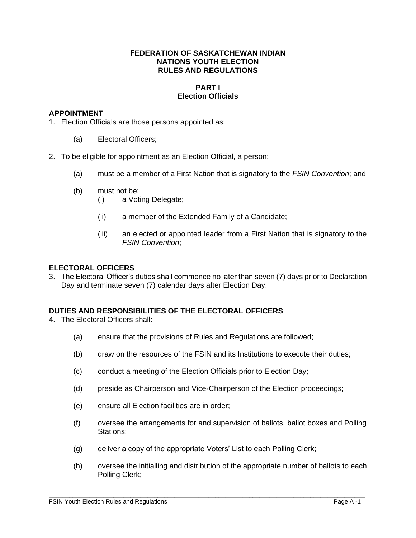## **FEDERATION OF SASKATCHEWAN INDIAN NATIONS YOUTH ELECTION RULES AND REGULATIONS**

# **PART I Election Officials**

## **APPOINTMENT**

1. Election Officials are those persons appointed as:

- (a) Electoral Officers;
- 2. To be eligible for appointment as an Election Official, a person:
	- (a) must be a member of a First Nation that is signatory to the *FSIN Convention*; and
	- (b) must not be:
		- (i) a Voting Delegate;
		- (ii) a member of the Extended Family of a Candidate;
		- (iii) an elected or appointed leader from a First Nation that is signatory to the *FSIN Convention*;

## **ELECTORAL OFFICERS**

3. The Electoral Officer's duties shall commence no later than seven (7) days prior to Declaration Day and terminate seven (7) calendar days after Election Day.

# **DUTIES AND RESPONSIBILITIES OF THE ELECTORAL OFFICERS**

- 4. The Electoral Officers shall:
	- (a) ensure that the provisions of Rules and Regulations are followed;
	- (b) draw on the resources of the FSIN and its Institutions to execute their duties;
	- (c) conduct a meeting of the Election Officials prior to Election Day;
	- (d) preside as Chairperson and Vice-Chairperson of the Election proceedings;
	- (e) ensure all Election facilities are in order;
	- (f) oversee the arrangements for and supervision of ballots, ballot boxes and Polling Stations;
	- (g) deliver a copy of the appropriate Voters' List to each Polling Clerk;
	- (h) oversee the initialling and distribution of the appropriate number of ballots to each Polling Clerk;

 $\overline{a}$  , and the state of the state of the state of the state of the state of the state of the state of the state of the state of the state of the state of the state of the state of the state of the state of the state o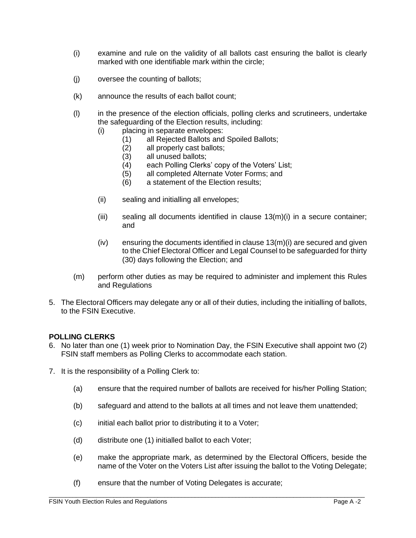- (i) examine and rule on the validity of all ballots cast ensuring the ballot is clearly marked with one identifiable mark within the circle;
- (j) oversee the counting of ballots;
- (k) announce the results of each ballot count;
- (l) in the presence of the election officials, polling clerks and scrutineers, undertake the safeguarding of the Election results, including:
	- (i) placing in separate envelopes:
		- (1) all Rejected Ballots and Spoiled Ballots;
		- (2) all properly cast ballots;
		- (3) all unused ballots;
		- (4) each Polling Clerks' copy of the Voters' List;
		- (5) all completed Alternate Voter Forms; and
		- (6) a statement of the Election results;
	- (ii) sealing and initialling all envelopes;
	- (iii) sealing all documents identified in clause 13(m)(i) in a secure container; and
	- (iv) ensuring the documents identified in clause 13(m)(i) are secured and given to the Chief Electoral Officer and Legal Counsel to be safeguarded for thirty (30) days following the Election; and
- (m) perform other duties as may be required to administer and implement this Rules and Regulations
- 5. The Electoral Officers may delegate any or all of their duties, including the initialling of ballots, to the FSIN Executive.

## **POLLING CLERKS**

- 6. No later than one (1) week prior to Nomination Day, the FSIN Executive shall appoint two (2) FSIN staff members as Polling Clerks to accommodate each station.
- 7. It is the responsibility of a Polling Clerk to:
	- (a) ensure that the required number of ballots are received for his/her Polling Station;
	- (b) safeguard and attend to the ballots at all times and not leave them unattended;
	- (c) initial each ballot prior to distributing it to a Voter;
	- (d) distribute one (1) initialled ballot to each Voter;
	- (e) make the appropriate mark, as determined by the Electoral Officers, beside the name of the Voter on the Voters List after issuing the ballot to the Voting Delegate;
	- (f) ensure that the number of Voting Delegates is accurate;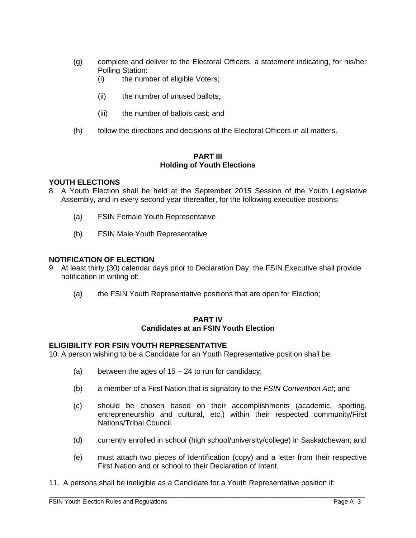- (g) complete and deliver to the Electoral Officers, a statement indicating, for his/her Polling Station:
	- (i) the number of eligible Voters;
	- (ii) the number of unused ballots;
	- (iii) the number of ballots cast; and
- (h) follow the directions and decisions of the Electoral Officers in all matters.

## **PART III Holding of Youth Elections**

# **YOUTH ELECTIONS**

- 8. A Youth Election shall be held at the September 2015 Session of the Youth Legislative Assembly, and in every second year thereafter, for the following executive positions:
	- (a) FSIN Female Youth Representative
	- (b) FSIN Male Youth Representative

# **NOTIFICATION OF ELECTION**

- 9. At least thirty (30) calendar days prior to Declaration Day, the FSIN Executive shall provide notification in writing of:
	- (a) the FSIN Youth Representative positions that are open for Election;

## **PART IV Candidates at an FSIN Youth Election**

# **ELIGIBILITY FOR FSIN YOUTH REPRESENTATIVE**

10. A person wishing to be a Candidate for an Youth Representative position shall be:

- (a) between the ages of  $15 24$  to run for candidacy;
- (b) a member of a First Nation that is signatory to the *FSIN Convention Act*; and
- (c) should be chosen based on their accomplishments (academic, sporting, entrepreneurship and cultural, etc.) within their respected community/First Nations/Tribal Council.
- (d) currently enrolled in school (high school/university/college) in Saskatchewan; and
- (e) must attach two pieces of Identification (copy) and a letter from their respective First Nation and or school to their Declaration of Intent.
- 11. A persons shall be ineligible as a Candidate for a Youth Representative position if: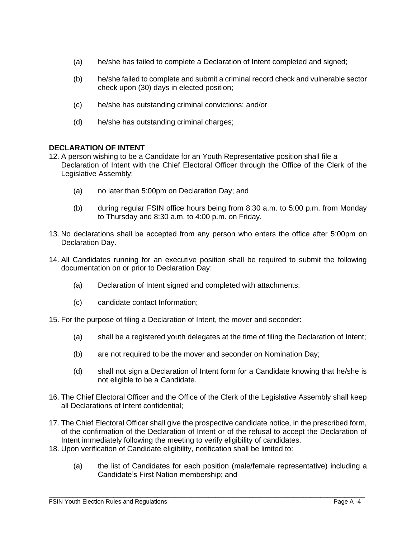- (a) he/she has failed to complete a Declaration of Intent completed and signed;
- (b) he/she failed to complete and submit a criminal record check and vulnerable sector check upon (30) days in elected position;
- (c) he/she has outstanding criminal convictions; and/or
- (d) he/she has outstanding criminal charges;

# **DECLARATION OF INTENT**

- 12. A person wishing to be a Candidate for an Youth Representative position shall file a Declaration of Intent with the Chief Electoral Officer through the Office of the Clerk of the Legislative Assembly:
	- (a) no later than 5:00pm on Declaration Day; and
	- (b) during regular FSIN office hours being from 8:30 a.m. to 5:00 p.m. from Monday to Thursday and 8:30 a.m. to 4:00 p.m. on Friday.
- 13. No declarations shall be accepted from any person who enters the office after 5:00pm on Declaration Day.
- 14. All Candidates running for an executive position shall be required to submit the following documentation on or prior to Declaration Day:
	- (a) Declaration of Intent signed and completed with attachments;
	- (c) candidate contact Information;
- 15. For the purpose of filing a Declaration of Intent, the mover and seconder:
	- (a) shall be a registered youth delegates at the time of filing the Declaration of Intent;
	- (b) are not required to be the mover and seconder on Nomination Day;
	- (d) shall not sign a Declaration of Intent form for a Candidate knowing that he/she is not eligible to be a Candidate.
- 16. The Chief Electoral Officer and the Office of the Clerk of the Legislative Assembly shall keep all Declarations of Intent confidential;
- 17. The Chief Electoral Officer shall give the prospective candidate notice, in the prescribed form, of the confirmation of the Declaration of Intent or of the refusal to accept the Declaration of Intent immediately following the meeting to verify eligibility of candidates.
- 18. Upon verification of Candidate eligibility, notification shall be limited to:
	- (a) the list of Candidates for each position (male/female representative) including a Candidate's First Nation membership; and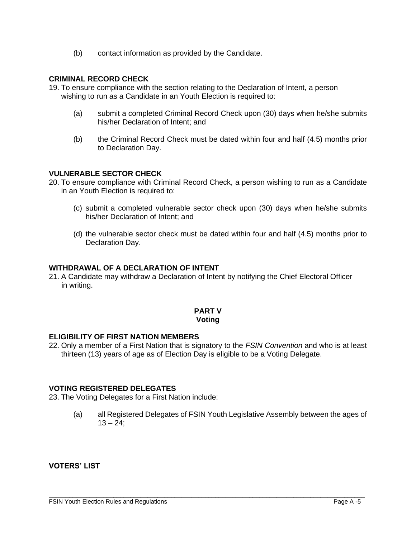(b) contact information as provided by the Candidate.

## **CRIMINAL RECORD CHECK**

- 19. To ensure compliance with the section relating to the Declaration of Intent, a person wishing to run as a Candidate in an Youth Election is required to:
	- (a) submit a completed Criminal Record Check upon (30) days when he/she submits his/her Declaration of Intent; and
	- (b) the Criminal Record Check must be dated within four and half (4.5) months prior to Declaration Day.

## **VULNERABLE SECTOR CHECK**

- 20. To ensure compliance with Criminal Record Check, a person wishing to run as a Candidate in an Youth Election is required to:
	- (c) submit a completed vulnerable sector check upon (30) days when he/she submits his/her Declaration of Intent; and
	- (d) the vulnerable sector check must be dated within four and half (4.5) months prior to Declaration Day.

### **WITHDRAWAL OF A DECLARATION OF INTENT**

21. A Candidate may withdraw a Declaration of Intent by notifying the Chief Electoral Officer in writing.

#### **PART V Voting**

## **ELIGIBILITY OF FIRST NATION MEMBERS**

22. Only a member of a First Nation that is signatory to the *FSIN Convention* and who is at least thirteen (13) years of age as of Election Day is eligible to be a Voting Delegate.

## **VOTING REGISTERED DELEGATES**

23. The Voting Delegates for a First Nation include:

(a) all Registered Delegates of FSIN Youth Legislative Assembly between the ages of  $13 - 24$ ;

 $\overline{a}$  , and the state of the state of the state of the state of the state of the state of the state of the state of the state of the state of the state of the state of the state of the state of the state of the state o

**VOTERS' LIST**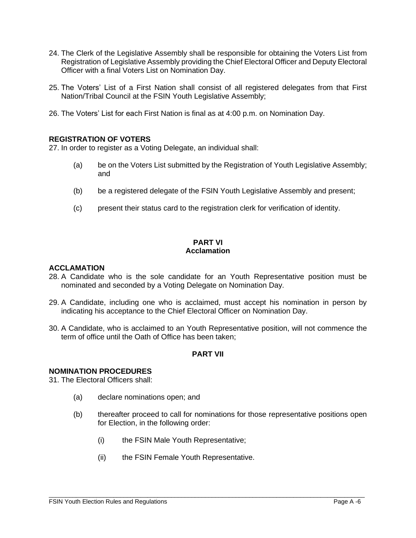- 24. The Clerk of the Legislative Assembly shall be responsible for obtaining the Voters List from Registration of Legislative Assembly providing the Chief Electoral Officer and Deputy Electoral Officer with a final Voters List on Nomination Day.
- 25. The Voters' List of a First Nation shall consist of all registered delegates from that First Nation/Tribal Council at the FSIN Youth Legislative Assembly;
- 26. The Voters' List for each First Nation is final as at 4:00 p.m. on Nomination Day.

# **REGISTRATION OF VOTERS**

27. In order to register as a Voting Delegate, an individual shall:

- (a) be on the Voters List submitted by the Registration of Youth Legislative Assembly; and
- (b) be a registered delegate of the FSIN Youth Legislative Assembly and present;
- (c) present their status card to the registration clerk for verification of identity.

# **PART VI Acclamation**

### **ACCLAMATION**

- 28. A Candidate who is the sole candidate for an Youth Representative position must be nominated and seconded by a Voting Delegate on Nomination Day.
- 29. A Candidate, including one who is acclaimed, must accept his nomination in person by indicating his acceptance to the Chief Electoral Officer on Nomination Day.
- 30. A Candidate, who is acclaimed to an Youth Representative position, will not commence the term of office until the Oath of Office has been taken;

# **PART VII**

### **NOMINATION PROCEDURES**

31. The Electoral Officers shall:

- (a) declare nominations open; and
- (b) thereafter proceed to call for nominations for those representative positions open for Election, in the following order:

 $\overline{a}$  , and the state of the state of the state of the state of the state of the state of the state of the state of the state of the state of the state of the state of the state of the state of the state of the state o

- (i) the FSIN Male Youth Representative;
- (ii) the FSIN Female Youth Representative.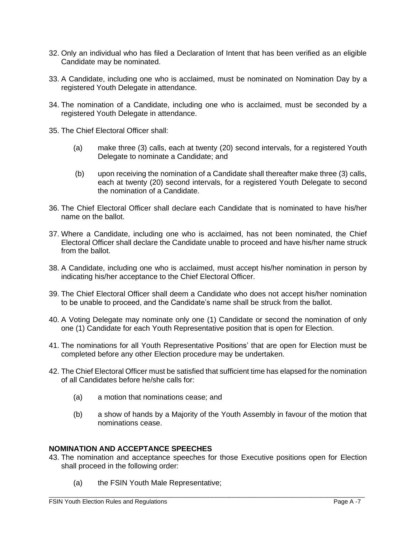- 32. Only an individual who has filed a Declaration of Intent that has been verified as an eligible Candidate may be nominated.
- 33. A Candidate, including one who is acclaimed, must be nominated on Nomination Day by a registered Youth Delegate in attendance.
- 34. The nomination of a Candidate, including one who is acclaimed, must be seconded by a registered Youth Delegate in attendance.
- 35. The Chief Electoral Officer shall:
	- (a) make three (3) calls, each at twenty (20) second intervals, for a registered Youth Delegate to nominate a Candidate; and
	- (b) upon receiving the nomination of a Candidate shall thereafter make three (3) calls, each at twenty (20) second intervals, for a registered Youth Delegate to second the nomination of a Candidate.
- 36. The Chief Electoral Officer shall declare each Candidate that is nominated to have his/her name on the ballot.
- 37. Where a Candidate, including one who is acclaimed, has not been nominated, the Chief Electoral Officer shall declare the Candidate unable to proceed and have his/her name struck from the ballot.
- 38. A Candidate, including one who is acclaimed, must accept his/her nomination in person by indicating his/her acceptance to the Chief Electoral Officer.
- 39. The Chief Electoral Officer shall deem a Candidate who does not accept his/her nomination to be unable to proceed, and the Candidate's name shall be struck from the ballot.
- 40. A Voting Delegate may nominate only one (1) Candidate or second the nomination of only one (1) Candidate for each Youth Representative position that is open for Election.
- 41. The nominations for all Youth Representative Positions' that are open for Election must be completed before any other Election procedure may be undertaken.
- 42. The Chief Electoral Officer must be satisfied that sufficient time has elapsed for the nomination of all Candidates before he/she calls for:
	- (a) a motion that nominations cease; and
	- (b) a show of hands by a Majority of the Youth Assembly in favour of the motion that nominations cease.

# **NOMINATION AND ACCEPTANCE SPEECHES**

- 43. The nomination and acceptance speeches for those Executive positions open for Election shall proceed in the following order:
	- (a) the FSIN Youth Male Representative;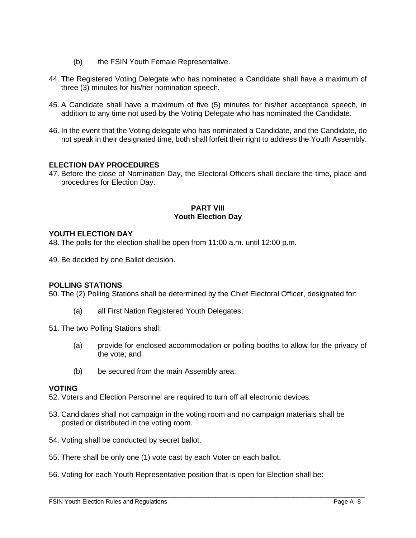- (b) the FSIN Youth Female Representative.
- 44. The Registered Voting Delegate who has nominated a Candidate shall have a maximum of three (3) minutes for his/her nomination speech.
- 45. A Candidate shall have a maximum of five (5) minutes for his/her acceptance speech, in addition to any time not used by the Voting Delegate who has nominated the Candidate.
- 46. In the event that the Voting delegate who has nominated a Candidate, and the Candidate, do not speak in their designated time, both shall forfeit their right to address the Youth Assembly.

# **ELECTION DAY PROCEDURES**

47. Before the close of Nomination Day, the Electoral Officers shall declare the time, place and procedures for Election Day.

## **PART VIII Youth Election Day**

# **YOUTH ELECTION DAY**

48. The polls for the election shall be open from 11:00 a.m. until 12:00 p.m.

49. Be decided by one Ballot decision.

### **POLLING STATIONS**

50. The (2) Polling Stations shall be determined by the Chief Electoral Officer, designated for:

- (a) all First Nation Registered Youth Delegates;
- 51. The two Polling Stations shall:
	- (a) provide for enclosed accommodation or polling booths to allow for the privacy of the vote; and
	- (b) be secured from the main Assembly area.

### **VOTING**

52. Voters and Election Personnel are required to turn off all electronic devices.

- 53. Candidates shall not campaign in the voting room and no campaign materials shall be posted or distributed in the voting room.
- 54. Voting shall be conducted by secret ballot.
- 55. There shall be only one (1) vote cast by each Voter on each ballot.
- 56. Voting for each Youth Representative position that is open for Election shall be:

 $\overline{a}$  , and the state of the state of the state of the state of the state of the state of the state of the state of the state of the state of the state of the state of the state of the state of the state of the state o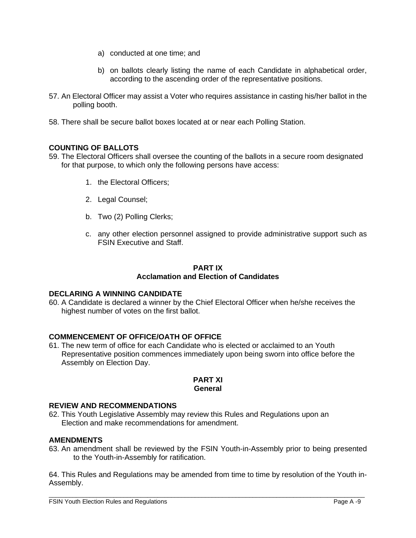- a) conducted at one time; and
- b) on ballots clearly listing the name of each Candidate in alphabetical order, according to the ascending order of the representative positions.
- 57. An Electoral Officer may assist a Voter who requires assistance in casting his/her ballot in the polling booth.
- 58. There shall be secure ballot boxes located at or near each Polling Station.

# **COUNTING OF BALLOTS**

- 59. The Electoral Officers shall oversee the counting of the ballots in a secure room designated for that purpose, to which only the following persons have access:
	- 1. the Electoral Officers;
	- 2. Legal Counsel;
	- b. Two (2) Polling Clerks;
	- c. any other election personnel assigned to provide administrative support such as FSIN Executive and Staff.

# **PART IX Acclamation and Election of Candidates**

# **DECLARING A WINNING CANDIDATE**

60. A Candidate is declared a winner by the Chief Electoral Officer when he/she receives the highest number of votes on the first ballot.

# **COMMENCEMENT OF OFFICE/OATH OF OFFICE**

61. The new term of office for each Candidate who is elected or acclaimed to an Youth Representative position commences immediately upon being sworn into office before the Assembly on Election Day.

#### **PART XI General**

# **REVIEW AND RECOMMENDATIONS**

62. This Youth Legislative Assembly may review this Rules and Regulations upon an Election and make recommendations for amendment.

# **AMENDMENTS**

63. An amendment shall be reviewed by the FSIN Youth-in-Assembly prior to being presented to the Youth-in-Assembly for ratification.

64. This Rules and Regulations may be amended from time to time by resolution of the Youth in-Assembly.